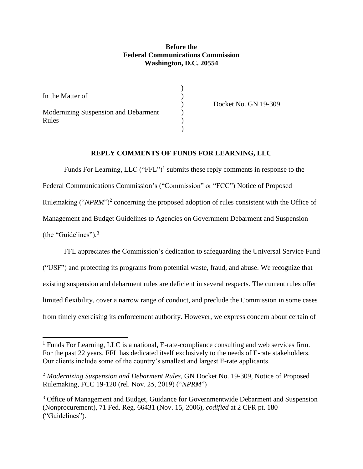## **Before the Federal Communications Commission Washington, D.C. 20554**

| In the Matter of                              |  |
|-----------------------------------------------|--|
| Modernizing Suspension and Debarment<br>Rules |  |

) Docket No. GN 19-309

### **REPLY COMMENTS OF FUNDS FOR LEARNING, LLC**

Funds For Learning, LLC ("FFL")<sup>1</sup> submits these reply comments in response to the Federal Communications Commission's ("Commission" or "FCC") Notice of Proposed Rulemaking ("NPRM")<sup>2</sup> concerning the proposed adoption of rules consistent with the Office of Management and Budget Guidelines to Agencies on Government Debarment and Suspension (the "Guidelines").<sup>3</sup>

FFL appreciates the Commission's dedication to safeguarding the Universal Service Fund ("USF") and protecting its programs from potential waste, fraud, and abuse. We recognize that existing suspension and debarment rules are deficient in several respects. The current rules offer limited flexibility, cover a narrow range of conduct, and preclude the Commission in some cases from timely exercising its enforcement authority. However, we express concern about certain of

<sup>&</sup>lt;sup>1</sup> Funds For Learning, LLC is a national, E-rate-compliance consulting and web services firm. For the past 22 years, FFL has dedicated itself exclusively to the needs of E-rate stakeholders. Our clients include some of the country's smallest and largest E-rate applicants.

<sup>2</sup> *Modernizing Suspension and Debarment Rules*, GN Docket No. 19-309, Notice of Proposed Rulemaking, FCC 19-120 (rel. Nov. 25, 2019) ("*NPRM*")

<sup>&</sup>lt;sup>3</sup> Office of Management and Budget, Guidance for Governmentwide Debarment and Suspension (Nonprocurement), 71 Fed. Reg. 66431 (Nov. 15, 2006), *codified* at 2 CFR pt. 180 ("Guidelines").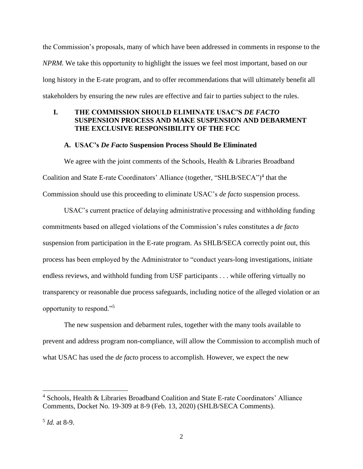the Commission's proposals, many of which have been addressed in comments in response to the *NPRM.* We take this opportunity to highlight the issues we feel most important, based on our long history in the E-rate program, and to offer recommendations that will ultimately benefit all stakeholders by ensuring the new rules are effective and fair to parties subject to the rules.

## **I. THE COMMISSION SHOULD ELIMINATE USAC'S** *DE FACTO* **SUSPENSION PROCESS AND MAKE SUSPENSION AND DEBARMENT THE EXCLUSIVE RESPONSIBILITY OF THE FCC**

### **A. USAC's** *De Facto* **Suspension Process Should Be Eliminated**

We agree with the joint comments of the Schools, Health & Libraries Broadband Coalition and State E-rate Coordinators' Alliance (together, "SHLB/SECA")<sup>4</sup> that the Commission should use this proceeding to eliminate USAC's *de facto* suspension process.

USAC's current practice of delaying administrative processing and withholding funding commitments based on alleged violations of the Commission's rules constitutes a *de facto* suspension from participation in the E-rate program. As SHLB/SECA correctly point out, this process has been employed by the Administrator to "conduct years-long investigations, initiate endless reviews, and withhold funding from USF participants . . . while offering virtually no transparency or reasonable due process safeguards, including notice of the alleged violation or an opportunity to respond."<sup>5</sup>

The new suspension and debarment rules, together with the many tools available to prevent and address program non-compliance, will allow the Commission to accomplish much of what USAC has used the *de facto* process to accomplish. However, we expect the new

<sup>4</sup> Schools, Health & Libraries Broadband Coalition and State E-rate Coordinators' Alliance Comments, Docket No. 19-309 at 8-9 (Feb. 13, 2020) (SHLB/SECA Comments).

<sup>5</sup> *Id.* at 8-9.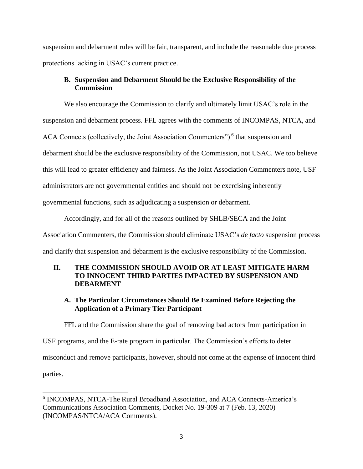suspension and debarment rules will be fair, transparent, and include the reasonable due process protections lacking in USAC's current practice.

# **B. Suspension and Debarment Should be the Exclusive Responsibility of the Commission**

We also encourage the Commission to clarify and ultimately limit USAC's role in the suspension and debarment process. FFL agrees with the comments of INCOMPAS, NTCA, and ACA Connects (collectively, the Joint Association Commenters")<sup>6</sup> that suspension and debarment should be the exclusive responsibility of the Commission, not USAC. We too believe this will lead to greater efficiency and fairness. As the Joint Association Commenters note, USF administrators are not governmental entities and should not be exercising inherently governmental functions, such as adjudicating a suspension or debarment.

Accordingly, and for all of the reasons outlined by SHLB/SECA and the Joint

Association Commenters, the Commission should eliminate USAC's *de facto* suspension process

and clarify that suspension and debarment is the exclusive responsibility of the Commission.

# **II. THE COMMISSION SHOULD AVOID OR AT LEAST MITIGATE HARM TO INNOCENT THIRD PARTIES IMPACTED BY SUSPENSION AND DEBARMENT**

# **A. The Particular Circumstances Should Be Examined Before Rejecting the Application of a Primary Tier Participant**

FFL and the Commission share the goal of removing bad actors from participation in USF programs, and the E-rate program in particular. The Commission's efforts to deter misconduct and remove participants, however, should not come at the expense of innocent third parties.

<sup>6</sup> INCOMPAS, NTCA-The Rural Broadband Association, and ACA Connects-America's Communications Association Comments, Docket No. 19-309 at 7 (Feb. 13, 2020) (INCOMPAS/NTCA/ACA Comments).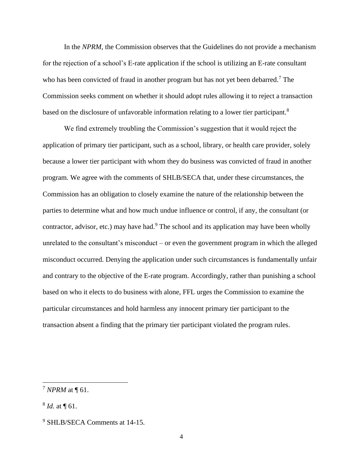In the *NPRM*, the Commission observes that the Guidelines do not provide a mechanism for the rejection of a school's E-rate application if the school is utilizing an E-rate consultant who has been convicted of fraud in another program but has not yet been debarred.<sup>7</sup> The Commission seeks comment on whether it should adopt rules allowing it to reject a transaction based on the disclosure of unfavorable information relating to a lower tier participant.<sup>8</sup>

We find extremely troubling the Commission's suggestion that it would reject the application of primary tier participant, such as a school, library, or health care provider, solely because a lower tier participant with whom they do business was convicted of fraud in another program. We agree with the comments of SHLB/SECA that, under these circumstances, the Commission has an obligation to closely examine the nature of the relationship between the parties to determine what and how much undue influence or control, if any, the consultant (or contractor, advisor, etc.) may have had.<sup>9</sup> The school and its application may have been wholly unrelated to the consultant's misconduct – or even the government program in which the alleged misconduct occurred. Denying the application under such circumstances is fundamentally unfair and contrary to the objective of the E-rate program. Accordingly, rather than punishing a school based on who it elects to do business with alone, FFL urges the Commission to examine the particular circumstances and hold harmless any innocent primary tier participant to the transaction absent a finding that the primary tier participant violated the program rules.

<sup>7</sup> *NPRM* at ¶ 61.

<sup>8</sup> *Id.* at ¶ 61.

<sup>9</sup> SHLB/SECA Comments at 14-15.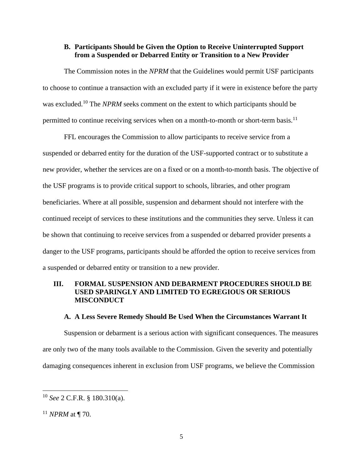### **B. Participants Should be Given the Option to Receive Uninterrupted Support from a Suspended or Debarred Entity or Transition to a New Provider**

The Commission notes in the *NPRM* that the Guidelines would permit USF participants to choose to continue a transaction with an excluded party if it were in existence before the party was excluded.<sup>10</sup> The *NPRM* seeks comment on the extent to which participants should be permitted to continue receiving services when on a month-to-month or short-term basis.<sup>11</sup>

FFL encourages the Commission to allow participants to receive service from a suspended or debarred entity for the duration of the USF-supported contract or to substitute a new provider, whether the services are on a fixed or on a month-to-month basis. The objective of the USF programs is to provide critical support to schools, libraries, and other program beneficiaries. Where at all possible, suspension and debarment should not interfere with the continued receipt of services to these institutions and the communities they serve. Unless it can be shown that continuing to receive services from a suspended or debarred provider presents a danger to the USF programs, participants should be afforded the option to receive services from a suspended or debarred entity or transition to a new provider.

### **III. FORMAL SUSPENSION AND DEBARMENT PROCEDURES SHOULD BE USED SPARINGLY AND LIMITED TO EGREGIOUS OR SERIOUS MISCONDUCT**

### **A. A Less Severe Remedy Should Be Used When the Circumstances Warrant It**

Suspension or debarment is a serious action with significant consequences. The measures are only two of the many tools available to the Commission. Given the severity and potentially damaging consequences inherent in exclusion from USF programs, we believe the Commission

<sup>10</sup> *See* 2 C.F.R. § 180.310(a).

<sup>11</sup> *NPRM* at ¶ 70.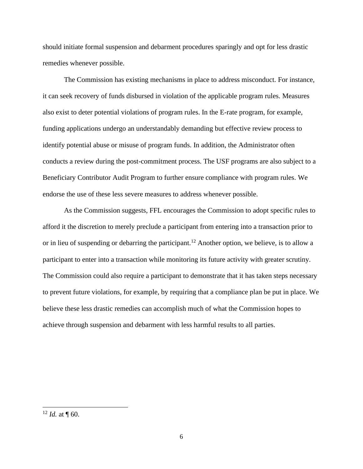should initiate formal suspension and debarment procedures sparingly and opt for less drastic remedies whenever possible.

The Commission has existing mechanisms in place to address misconduct. For instance, it can seek recovery of funds disbursed in violation of the applicable program rules. Measures also exist to deter potential violations of program rules. In the E-rate program, for example, funding applications undergo an understandably demanding but effective review process to identify potential abuse or misuse of program funds. In addition, the Administrator often conducts a review during the post-commitment process. The USF programs are also subject to a Beneficiary Contributor Audit Program to further ensure compliance with program rules. We endorse the use of these less severe measures to address whenever possible.

As the Commission suggests, FFL encourages the Commission to adopt specific rules to afford it the discretion to merely preclude a participant from entering into a transaction prior to or in lieu of suspending or debarring the participant.<sup>12</sup> Another option, we believe, is to allow a participant to enter into a transaction while monitoring its future activity with greater scrutiny. The Commission could also require a participant to demonstrate that it has taken steps necessary to prevent future violations, for example, by requiring that a compliance plan be put in place. We believe these less drastic remedies can accomplish much of what the Commission hopes to achieve through suspension and debarment with less harmful results to all parties.

<sup>&</sup>lt;sup>12</sup> *Id.* at  $\P$  60.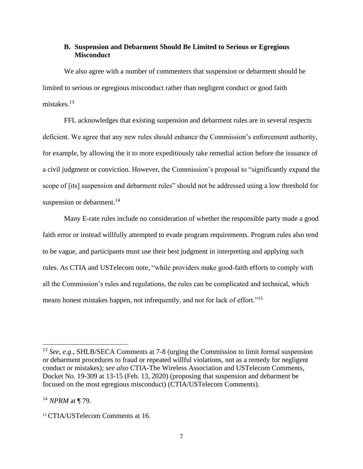### **B. Suspension and Debarment Should Be Limited to Serious or Egregious Misconduct**

We also agree with a number of commenters that suspension or debarment should be limited to serious or egregious misconduct rather than negligent conduct or good faith mistakes. $13$ 

FFL acknowledges that existing suspension and debarment rules are in several respects deficient. We agree that any new rules should enhance the Commission's enforcement authority, for example, by allowing the it to more expeditiously take remedial action before the issuance of a civil judgment or conviction. However, the Commission's proposal to "significantly expand the scope of [its] suspension and debarment rules" should not be addressed using a low threshold for suspension or debarment.<sup>14</sup>

Many E-rate rules include no consideration of whether the responsible party made a good faith error or instead willfully attempted to evade program requirements. Program rules also tend to be vague, and participants must use their best judgment in interpreting and applying such rules. As CTIA and USTelecom note, "while providers make good-faith efforts to comply with all the Commission's rules and regulations, the rules can be complicated and technical, which means honest mistakes happen, not infrequently, and not for lack of effort."<sup>15</sup>

<sup>13</sup> *See*, *e.g*., SHLB/SECA Comments at 7-8 (urging the Commission to limit formal suspension or debarment procedures to fraud or repeated willful violations, not as a remedy for negligent conduct or mistakes); *see also* CTIA-The Wireless Association and USTelecom Comments, Docket No. 19-309 at 13-15 (Feb. 13, 2020) (proposing that suspension and debarment be focused on the most egregious misconduct) (CTIA/USTelecom Comments).

<sup>14</sup> *NPRM* at ¶ 79.

<sup>15</sup> CTIA/USTelecom Comments at 16.